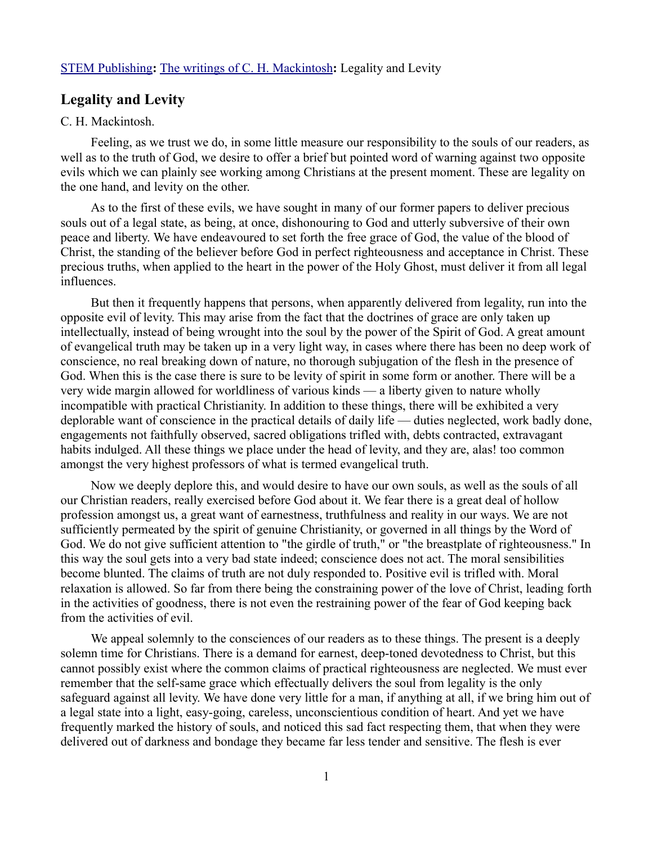## [STEM Publishing](http://www.stempublishing.com/)**:** [The writings of C. H. Mackintosh](http://www.stempublishing.com/authors/mackintosh/index.html)**:** Legality and Levity

## **Legality and Levity**

## C. H. Mackintosh.

Feeling, as we trust we do, in some little measure our responsibility to the souls of our readers, as well as to the truth of God, we desire to offer a brief but pointed word of warning against two opposite evils which we can plainly see working among Christians at the present moment. These are legality on the one hand, and levity on the other.

As to the first of these evils, we have sought in many of our former papers to deliver precious souls out of a legal state, as being, at once, dishonouring to God and utterly subversive of their own peace and liberty. We have endeavoured to set forth the free grace of God, the value of the blood of Christ, the standing of the believer before God in perfect righteousness and acceptance in Christ. These precious truths, when applied to the heart in the power of the Holy Ghost, must deliver it from all legal influences.

But then it frequently happens that persons, when apparently delivered from legality, run into the opposite evil of levity. This may arise from the fact that the doctrines of grace are only taken up intellectually, instead of being wrought into the soul by the power of the Spirit of God. A great amount of evangelical truth may be taken up in a very light way, in cases where there has been no deep work of conscience, no real breaking down of nature, no thorough subjugation of the flesh in the presence of God. When this is the case there is sure to be levity of spirit in some form or another. There will be a very wide margin allowed for worldliness of various kinds — a liberty given to nature wholly incompatible with practical Christianity. In addition to these things, there will be exhibited a very deplorable want of conscience in the practical details of daily life — duties neglected, work badly done, engagements not faithfully observed, sacred obligations trifled with, debts contracted, extravagant habits indulged. All these things we place under the head of levity, and they are, alas! too common amongst the very highest professors of what is termed evangelical truth.

Now we deeply deplore this, and would desire to have our own souls, as well as the souls of all our Christian readers, really exercised before God about it. We fear there is a great deal of hollow profession amongst us, a great want of earnestness, truthfulness and reality in our ways. We are not sufficiently permeated by the spirit of genuine Christianity, or governed in all things by the Word of God. We do not give sufficient attention to "the girdle of truth," or "the breastplate of righteousness." In this way the soul gets into a very bad state indeed; conscience does not act. The moral sensibilities become blunted. The claims of truth are not duly responded to. Positive evil is trifled with. Moral relaxation is allowed. So far from there being the constraining power of the love of Christ, leading forth in the activities of goodness, there is not even the restraining power of the fear of God keeping back from the activities of evil.

We appeal solemnly to the consciences of our readers as to these things. The present is a deeply solemn time for Christians. There is a demand for earnest, deep-toned devotedness to Christ, but this cannot possibly exist where the common claims of practical righteousness are neglected. We must ever remember that the self-same grace which effectually delivers the soul from legality is the only safeguard against all levity. We have done very little for a man, if anything at all, if we bring him out of a legal state into a light, easy-going, careless, unconscientious condition of heart. And yet we have frequently marked the history of souls, and noticed this sad fact respecting them, that when they were delivered out of darkness and bondage they became far less tender and sensitive. The flesh is ever